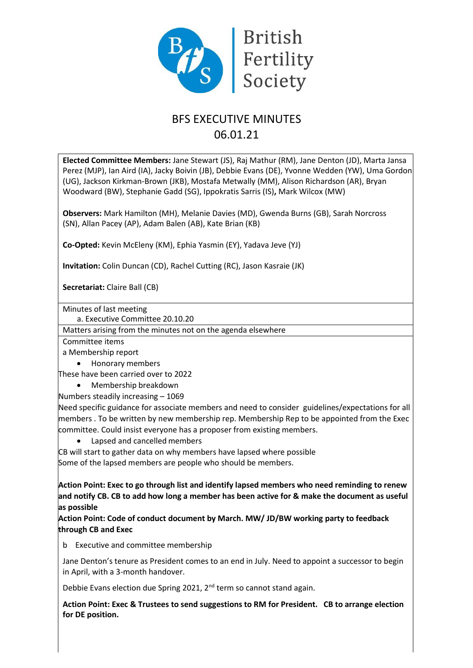

# BFS EXECUTIVE MINUTES 06.01.21

**Elected Committee Members:** Jane Stewart (JS), Raj Mathur (RM), Jane Denton (JD), Marta Jansa Perez (MJP), Ian Aird (IA), Jacky Boivin (JB), Debbie Evans (DE), Yvonne Wedden (YW), Uma Gordon (UG), Jackson Kirkman-Brown (JKB), Mostafa Metwally (MM), Alison Richardson (AR), Bryan Woodward (BW), Stephanie Gadd (SG), Ippokratis Sarris (IS)**,** Mark Wilcox (MW)

**Observers:** Mark Hamilton (MH), Melanie Davies (MD), Gwenda Burns (GB), Sarah Norcross (SN), Allan Pacey (AP), Adam Balen (AB), Kate Brian (KB)

**Co-Opted:** Kevin McEleny (KM), Ephia Yasmin (EY), Yadava Jeve (YJ)

**Invitation:** Colin Duncan (CD), Rachel Cutting (RC), Jason Kasraie (JK)

**Secretariat:** Claire Ball (CB)

Minutes of last meeting

a. Executive Committee 20.10.20

Matters arising from the minutes not on the agenda elsewhere

Committee items

a Membership report

- Honorary members
- These have been carried over to 2022
	- Membership breakdown
- Numbers steadily increasing 1069

Need specific guidance for associate members and need to consider guidelines/expectations for all members . To be written by new membership rep. Membership Rep to be appointed from the Exec committee. Could insist everyone has a proposer from existing members.

• Lapsed and cancelled members

CB will start to gather data on why members have lapsed where possible

Some of the lapsed members are people who should be members.

**Action Point: Exec to go through list and identify lapsed members who need reminding to renew and notify CB. CB to add how long a member has been active for & make the document as useful as possible**

**Action Point: Code of conduct document by March. MW/ JD/BW working party to feedback through CB and Exec**

b Executive and committee membership

Jane Denton's tenure as President comes to an end in July. Need to appoint a successor to begin in April, with a 3-month handover.

Debbie Evans election due Spring 2021, 2<sup>nd</sup> term so cannot stand again.

**Action Point: Exec & Trustees to send suggestions to RM for President. CB to arrange election for DE position.**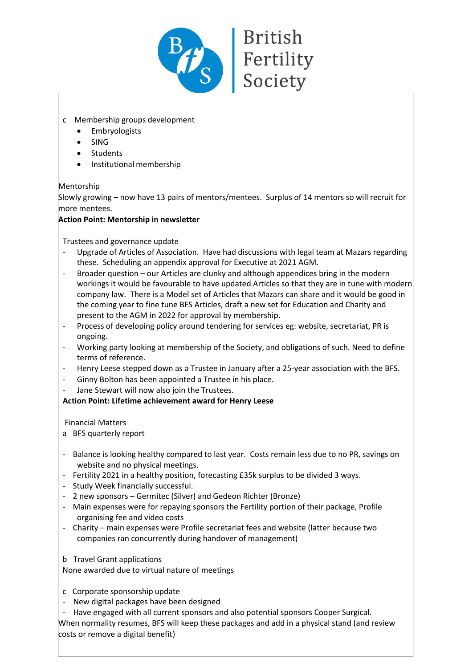

- c Membership groups development
	- **Embryologists**
	- SING
	- **Students**
	- Institutional membership

Mentorship

Slowly growing – now have 13 pairs of mentors/mentees. Surplus of 14 mentors so will recruit for more mentees.

# **Action Point: Mentorship in newsletter**

Trustees and governance update

- Upgrade of Articles of Association. Have had discussions with legal team at Mazars regarding these. Scheduling an appendix approval for Executive at 2021 AGM.
- Broader question our Articles are clunky and although appendices bring in the modern workings it would be favourable to have updated Articles so that they are in tune with modern company law. There is a Model set of Articles that Mazars can share and it would be good in the coming year to fine tune BFS Articles, draft a new set for Education and Charity and present to the AGM in 2022 for approval by membership.
- Process of developing policy around tendering for services eg: website, secretariat, PR is ongoing.
- Working party looking at membership of the Society, and obligations of such. Need to define terms of reference.
- Henry Leese stepped down as a Trustee in January after a 25-year association with the BFS.
- Ginny Bolton has been appointed a Trustee in his place.
- Jane Stewart will now also join the Trustees.

**Action Point: Lifetime achievement award for Henry Leese** 

Financial Matters

- a BFS quarterly report
- Balance is looking healthy compared to last year. Costs remain less due to no PR, savings on website and no physical meetings.
- Fertility 2021 in a healthy position, forecasting £35k surplus to be divided 3 ways.
- Study Week financially successful.
- 2 new sponsors Germitec (Silver) and Gedeon Richter (Bronze)
- Main expenses were for repaying sponsors the Fertility portion of their package, Profile organising fee and video costs
- Charity main expenses were Profile secretariat fees and website (latter because two companies ran concurrently during handover of management)
- b Travel Grant applications

None awarded due to virtual nature of meetings

- c Corporate sponsorship update
- New digital packages have been designed
- Have engaged with all current sponsors and also potential sponsors Cooper Surgical.

When normality resumes, BFS will keep these packages and add in a physical stand (and review costs or remove a digital benefit)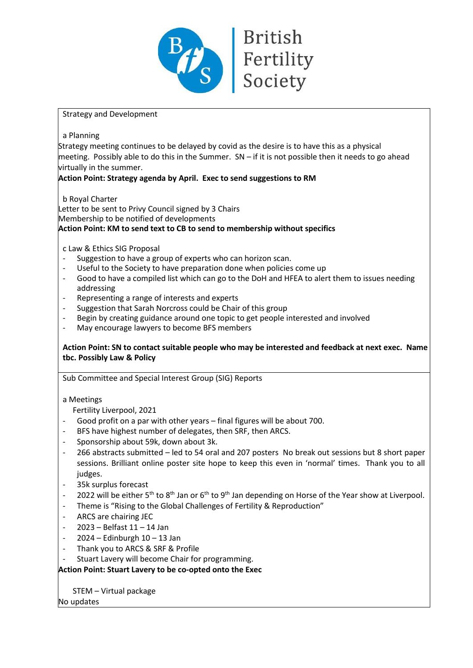

# Strategy and Development

a Planning

Strategy meeting continues to be delayed by covid as the desire is to have this as a physical meeting. Possibly able to do this in the Summer. SN – if it is not possible then it needs to go ahead virtually in the summer.

# **Action Point: Strategy agenda by April. Exec to send suggestions to RM**

b Royal Charter

Letter to be sent to Privy Council signed by 3 Chairs Membership to be notified of developments **Action Point: KM to send text to CB to send to membership without specifics**

# c Law & Ethics SIG Proposal

- Suggestion to have a group of experts who can horizon scan.
- Useful to the Society to have preparation done when policies come up
- Good to have a compiled list which can go to the DoH and HFEA to alert them to issues needing addressing
- Representing a range of interests and experts
- Suggestion that Sarah Norcross could be Chair of this group
- Begin by creating guidance around one topic to get people interested and involved
- May encourage lawyers to become BFS members

#### **Action Point: SN to contact suitable people who may be interested and feedback at next exec. Name tbc. Possibly Law & Policy**

Sub Committee and Special Interest Group (SIG) Reports

a Meetings

Fertility Liverpool, 2021

- Good profit on a par with other years final figures will be about 700.
- BFS have highest number of delegates, then SRF, then ARCS.
- Sponsorship about 59k, down about 3k.
- 266 abstracts submitted led to 54 oral and 207 posters No break out sessions but 8 short paper sessions. Brilliant online poster site hope to keep this even in 'normal' times. Thank you to all judges.
- 35k surplus forecast
- 2022 will be either 5<sup>th</sup> to 8<sup>th</sup> Jan or 6<sup>th</sup> to 9<sup>th</sup> Jan depending on Horse of the Year show at Liverpool.
- Theme is "Rising to the Global Challenges of Fertility & Reproduction"
- ARCS are chairing JEC
- 2023 Belfast 11 14 Jan
- $2024 -$  Edinburgh  $10 13$  Jan
- Thank you to ARCS & SRF & Profile
- Stuart Lavery will become Chair for programming.

# **Action Point: Stuart Lavery to be co-opted onto the Exec**

STEM – Virtual package

No updates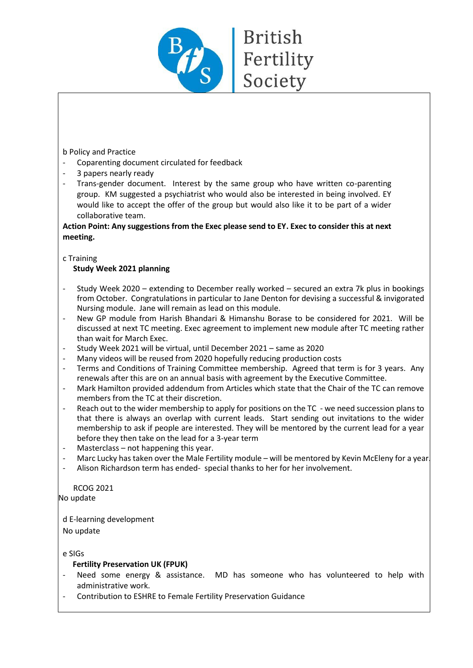

#### b Policy and Practice

- Coparenting document circulated for feedback
- 3 papers nearly ready
- Trans-gender document. Interest by the same group who have written co-parenting group. KM suggested a psychiatrist who would also be interested in being involved. EY would like to accept the offer of the group but would also like it to be part of a wider collaborative team.

#### **Action Point: Any suggestions from the Exec please send to EY. Exec to consider this at next meeting.**

#### c Training

# **Study Week 2021 planning**

- Study Week 2020 extending to December really worked secured an extra 7k plus in bookings from October. Congratulations in particular to Jane Denton for devising a successful & invigorated Nursing module. Jane will remain as lead on this module.
- New GP module from Harish Bhandari & Himanshu Borase to be considered for 2021. Will be discussed at next TC meeting. Exec agreement to implement new module after TC meeting rather than wait for March Exec.
- Study Week 2021 will be virtual, until December 2021 same as 2020
- Many videos will be reused from 2020 hopefully reducing production costs
- Terms and Conditions of Training Committee membership. Agreed that term is for 3 years. Any renewals after this are on an annual basis with agreement by the Executive Committee.
- Mark Hamilton provided addendum from Articles which state that the Chair of the TC can remove members from the TC at their discretion.
- Reach out to the wider membership to apply for positions on the TC we need succession plans to that there is always an overlap with current leads. Start sending out invitations to the wider membership to ask if people are interested. They will be mentored by the current lead for a year before they then take on the lead for a 3-year term
- Masterclass not happening this year.
- Marc Lucky has taken over the Male Fertility module will be mentored by Kevin McEleny for a year.
- Alison Richardson term has ended- special thanks to her for her involvement.

RCOG 2021 No update

d E-learning development No update

e SIGs

#### **Fertility Preservation UK (FPUK)**

- Need some energy & assistance. MD has someone who has volunteered to help with administrative work.
- Contribution to ESHRE to Female Fertility Preservation Guidance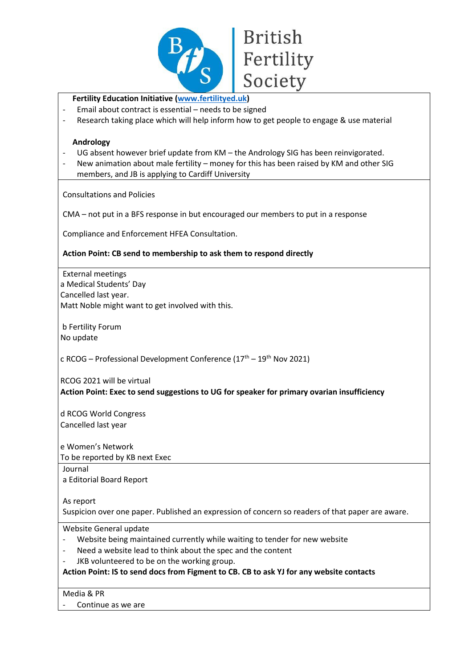

# **British** Fertility Society

# **Fertility Education Initiativ[e \(www.fertilityed.uk\)](http://www.fertilityed.uk/)**

- Email about contract is essential needs to be signed
- Research taking place which will help inform how to get people to engage & use material

#### **Andrology**

- UG absent however brief update from KM the Andrology SIG has been reinvigorated.
- New animation about male fertility money for this has been raised by KM and other SIG members, and JB is applying to Cardiff University

Consultations and Policies

CMA – not put in a BFS response in but encouraged our members to put in a response

Compliance and Enforcement HFEA Consultation.

# **Action Point: CB send to membership to ask them to respond directly**

External meetings a Medical Students' Day Cancelled last year. Matt Noble might want to get involved with this.

b Fertility Forum No update

c RCOG – Professional Development Conference  $(17<sup>th</sup> - 19<sup>th</sup>$  Nov 2021)

RCOG 2021 will be virtual **Action Point: Exec to send suggestions to UG for speaker for primary ovarian insufficiency** 

d RCOG World Congress Cancelled last year

e Women's Network

To be reported by KB next Exec

Journal

a Editorial Board Report

As report

Suspicion over one paper. Published an expression of concern so readers of that paper are aware.

Website General update

- Website being maintained currently while waiting to tender for new website
- Need a website lead to think about the spec and the content
- JKB volunteered to be on the working group.

**Action Point: IS to send docs from Figment to CB. CB to ask YJ for any website contacts** 

Media & PR

Continue as we are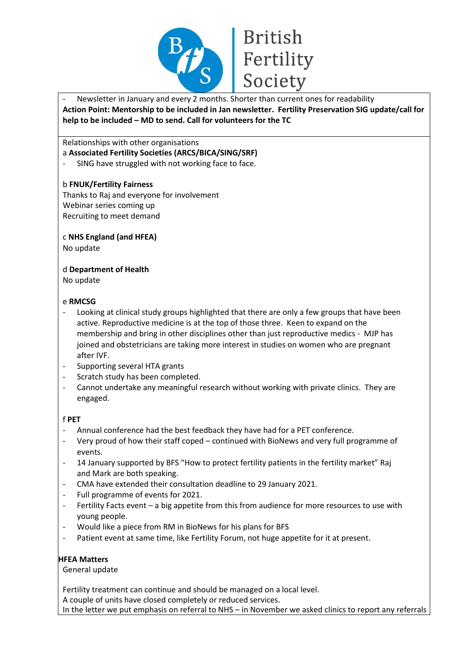

Newsletter in January and every 2 months. Shorter than current ones for readability **Action Point: Mentorship to be included in Jan newsletter. Fertility Preservation SIG update/call for help to be included – MD to send. Call for volunteers for the TC**

Relationships with other organisations

- a **Associated Fertility Societies (ARCS/BICA/SING/SRF)**
- SING have struggled with not working face to face.

#### b **FNUK/Fertility Fairness**

Thanks to Raj and everyone for involvement Webinar series coming up Recruiting to meet demand

c **NHS England (and HFEA)**

No update

d **Department of Health**

No update

#### e **RMCSG**

- Looking at clinical study groups highlighted that there are only a few groups that have been active. Reproductive medicine is at the top of those three. Keen to expand on the membership and bring in other disciplines other than just reproductive medics - MJP has joined and obstetricians are taking more interest in studies on women who are pregnant after IVF.
- Supporting several HTA grants
- Scratch study has been completed.
- Cannot undertake any meaningful research without working with private clinics. They are engaged.

#### f **PET**

- Annual conference had the best feedback they have had for a PET conference.
- Very proud of how their staff coped continued with BioNews and very full programme of events.
- 14 January supported by BFS "How to protect fertility patients in the fertility market" Raj and Mark are both speaking.
- CMA have extended their consultation deadline to 29 January 2021.
- Full programme of events for 2021.
- Fertility Facts event a big appetite from this from audience for more resources to use with young people.
- Would like a piece from RM in BioNews for his plans for BFS
- Patient event at same time, like Fertility Forum, not huge appetite for it at present.

#### **HFEA Matters**

General update

Fertility treatment can continue and should be managed on a local level.

A couple of units have closed completely or reduced services.

In the letter we put emphasis on referral to NHS – in November we asked clinics to report any referrals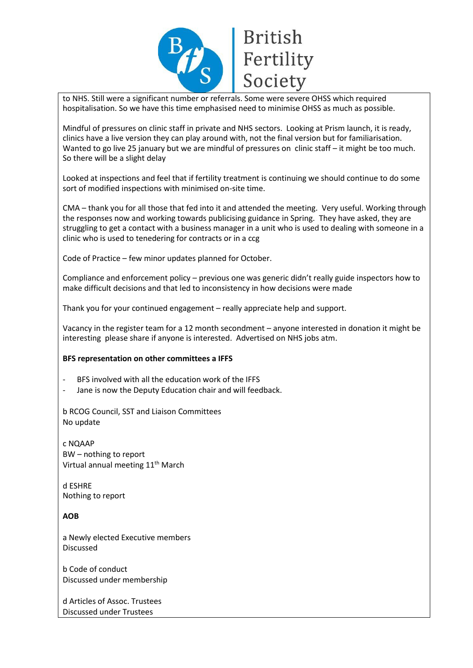

to NHS. Still were a significant number or referrals. Some were severe OHSS which required hospitalisation. So we have this time emphasised need to minimise OHSS as much as possible.

Mindful of pressures on clinic staff in private and NHS sectors. Looking at Prism launch, it is ready, clinics have a live version they can play around with, not the final version but for familiarisation. Wanted to go live 25 january but we are mindful of pressures on clinic staff – it might be too much. So there will be a slight delay

Looked at inspections and feel that if fertility treatment is continuing we should continue to do some sort of modified inspections with minimised on-site time.

CMA – thank you for all those that fed into it and attended the meeting. Very useful. Working through the responses now and working towards publicising guidance in Spring. They have asked, they are struggling to get a contact with a business manager in a unit who is used to dealing with someone in a clinic who is used to tenedering for contracts or in a ccg

Code of Practice – few minor updates planned for October.

Compliance and enforcement policy – previous one was generic didn't really guide inspectors how to make difficult decisions and that led to inconsistency in how decisions were made

Thank you for your continued engagement – really appreciate help and support.

Vacancy in the register team for a 12 month secondment – anyone interested in donation it might be interesting please share if anyone is interested. Advertised on NHS jobs atm.

#### **BFS representation on other committees a IFFS**

- BFS involved with all the education work of the IFFS
- Jane is now the Deputy Education chair and will feedback.

b RCOG Council, SST and Liaison Committees No update

c NQAAP BW – nothing to report Virtual annual meeting 11<sup>th</sup> March

d ESHRE Nothing to report

**AOB**

a Newly elected Executive members Discussed

b Code of conduct Discussed under membership

d Articles of Assoc. Trustees Discussed under Trustees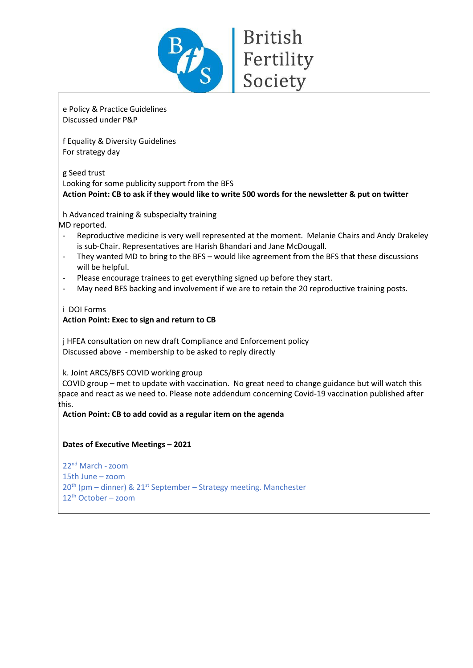

# e Policy & Practice Guidelines Discussed under P&P

f Equality & Diversity Guidelines For strategy day

g Seed trust Looking for some publicity support from the BFS **Action Point: CB to ask if they would like to write 500 words for the newsletter & put on twitter**

**British** 

Society

h Advanced training & subspecialty training

MD reported.

- Reproductive medicine is very well represented at the moment. Melanie Chairs and Andy Drakeley is sub-Chair. Representatives are Harish Bhandari and Jane McDougall.
- They wanted MD to bring to the BFS would like agreement from the BFS that these discussions will be helpful.
- Please encourage trainees to get everything signed up before they start.
- May need BFS backing and involvement if we are to retain the 20 reproductive training posts.

i DOI Forms

# **Action Point: Exec to sign and return to CB**

j HFEA consultation on new draft Compliance and Enforcement policy Discussed above - membership to be asked to reply directly

k. Joint ARCS/BFS COVID working group

 COVID group – met to update with vaccination. No great need to change guidance but will watch this space and react as we need to. Please note addendum concerning Covid-19 vaccination published after this.

**Action Point: CB to add covid as a regular item on the agenda**

# **Dates of Executive Meetings – 2021**

22nd March -zoom 15th June – zoom  $20<sup>th</sup>$  (pm – dinner) &  $21<sup>st</sup>$  September – Strategy meeting. Manchester 12th October – zoom